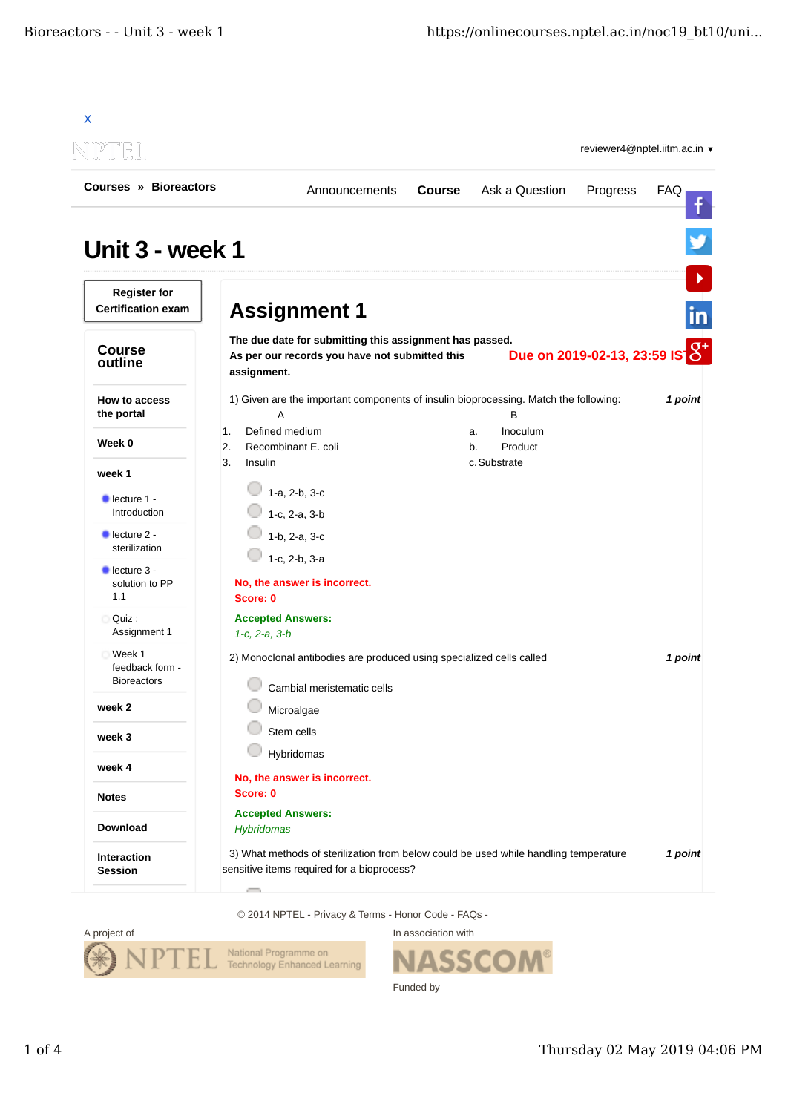| Courses » Bioreactors                           |                                                                                                                          |                            |        |                                                                                           |                               |            |
|-------------------------------------------------|--------------------------------------------------------------------------------------------------------------------------|----------------------------|--------|-------------------------------------------------------------------------------------------|-------------------------------|------------|
|                                                 |                                                                                                                          | Announcements              | Course | Ask a Question                                                                            | Progress                      | <b>FAQ</b> |
| Unit 3 - week 1<br><b>Register for</b>          |                                                                                                                          |                            |        |                                                                                           |                               |            |
| <b>Certification exam</b>                       | <b>Assignment 1</b>                                                                                                      |                            |        |                                                                                           |                               | in         |
| <b>Course</b><br>outline                        | The due date for submitting this assignment has passed.<br>As per our records you have not submitted this<br>assignment. |                            |        |                                                                                           | Due on 2019-02-13, 23:59 IS 8 |            |
| How to access<br>the portal                     | A                                                                                                                        |                            |        | 1) Given are the important components of insulin bioprocessing. Match the following:<br>B |                               | 1 point    |
| Week 0                                          | Defined medium<br>1.<br>Recombinant E. coli<br>2.                                                                        |                            |        | Inoculum<br>a.<br>Product<br>b.                                                           |                               |            |
| week 1                                          | 3.<br>Insulin                                                                                                            |                            |        | c. Substrate                                                                              |                               |            |
| $\blacksquare$ lecture 1 -<br>Introduction      | 1-a, 2-b, 3-c<br>1-c, 2-a, 3-b                                                                                           |                            |        |                                                                                           |                               |            |
| lecture 2 -<br>sterilization                    | 1-b, 2-a, 3-c                                                                                                            |                            |        |                                                                                           |                               |            |
| lecture 3 -<br>solution to PP<br>1.1            | 1-c, 2-b, 3-a<br>No, the answer is incorrect.<br>Score: 0                                                                |                            |        |                                                                                           |                               |            |
| Ouiz:<br>Assignment 1                           | <b>Accepted Answers:</b><br>$1-c, 2-a, 3-b$                                                                              |                            |        |                                                                                           |                               |            |
| Week 1<br>feedback form -<br><b>Bioreactors</b> | 2) Monoclonal antibodies are produced using specialized cells called                                                     | Cambial meristematic cells |        |                                                                                           |                               | 1 point    |
| week 2                                          | Microalgae                                                                                                               |                            |        |                                                                                           |                               |            |
| week 3                                          | Stem cells                                                                                                               |                            |        |                                                                                           |                               |            |
| week 4                                          | Hybridomas                                                                                                               |                            |        |                                                                                           |                               |            |
| <b>Notes</b>                                    | No, the answer is incorrect.<br>Score: 0                                                                                 |                            |        |                                                                                           |                               |            |
| <b>Download</b>                                 | <b>Accepted Answers:</b><br><b>Hybridomas</b>                                                                            |                            |        |                                                                                           |                               |            |
| <b>Interaction</b>                              |                                                                                                                          |                            |        | 3) What methods of sterilization from below could be used while handling temperature      |                               | 1 point    |

© 2014 NPTEL - Privacy & Terms - Honor Code - FAQs -



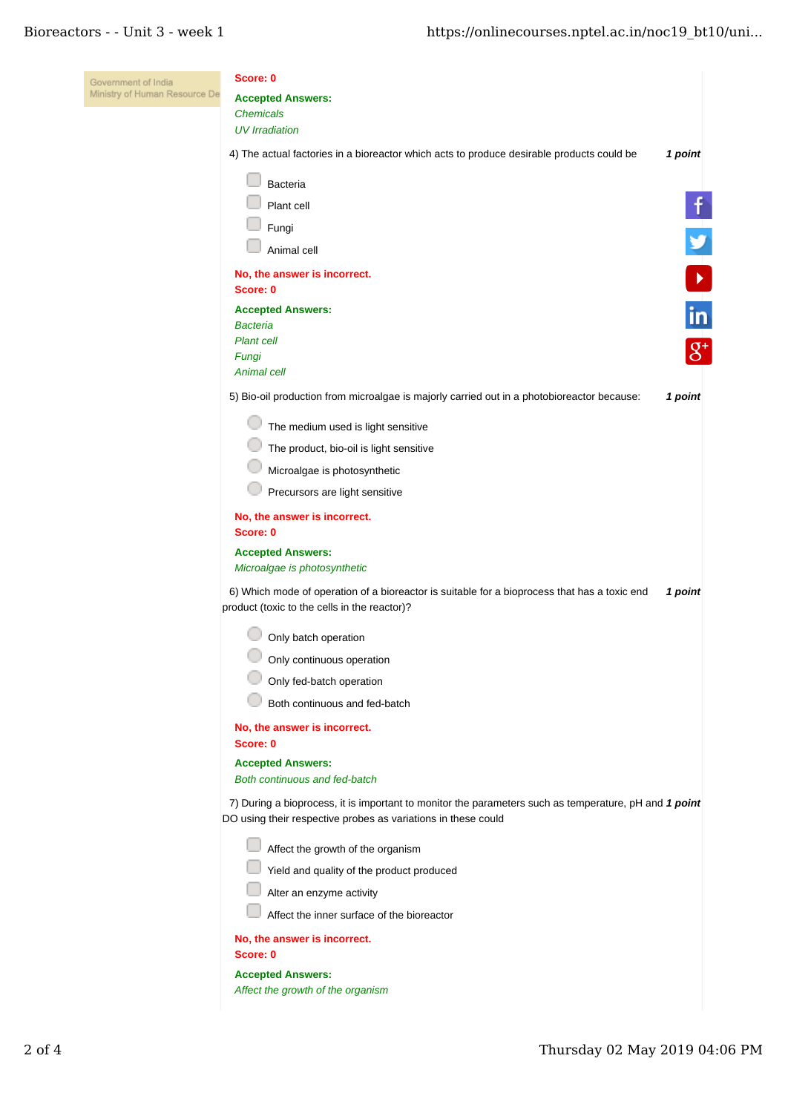| Government of India           | Score: 0                                                                                                                                                |  |  |  |  |
|-------------------------------|---------------------------------------------------------------------------------------------------------------------------------------------------------|--|--|--|--|
| Ministry of Human Resource De | <b>Accepted Answers:</b>                                                                                                                                |  |  |  |  |
|                               | <b>Chemicals</b>                                                                                                                                        |  |  |  |  |
|                               | <b>UV</b> Irradiation                                                                                                                                   |  |  |  |  |
|                               | 4) The actual factories in a bioreactor which acts to produce desirable products could be<br>1 point                                                    |  |  |  |  |
|                               | <b>Bacteria</b>                                                                                                                                         |  |  |  |  |
|                               | Plant cell                                                                                                                                              |  |  |  |  |
|                               | Fungi                                                                                                                                                   |  |  |  |  |
|                               | Animal cell                                                                                                                                             |  |  |  |  |
|                               | No, the answer is incorrect.                                                                                                                            |  |  |  |  |
|                               | Score: 0                                                                                                                                                |  |  |  |  |
|                               | <b>Accepted Answers:</b><br>in                                                                                                                          |  |  |  |  |
|                               | <b>Bacteria</b><br><b>Plant cell</b>                                                                                                                    |  |  |  |  |
|                               | $g+$<br>Fungi                                                                                                                                           |  |  |  |  |
|                               | <b>Animal cell</b>                                                                                                                                      |  |  |  |  |
|                               | 5) Bio-oil production from microalgae is majorly carried out in a photobioreactor because:<br>1 point                                                   |  |  |  |  |
|                               | The medium used is light sensitive                                                                                                                      |  |  |  |  |
|                               | The product, bio-oil is light sensitive                                                                                                                 |  |  |  |  |
|                               | Microalgae is photosynthetic                                                                                                                            |  |  |  |  |
|                               | Precursors are light sensitive                                                                                                                          |  |  |  |  |
|                               | No, the answer is incorrect.<br>Score: 0                                                                                                                |  |  |  |  |
|                               | <b>Accepted Answers:</b><br>Microalgae is photosynthetic                                                                                                |  |  |  |  |
|                               | 6) Which mode of operation of a bioreactor is suitable for a bioprocess that has a toxic end<br>1 point<br>product (toxic to the cells in the reactor)? |  |  |  |  |
|                               | Only batch operation                                                                                                                                    |  |  |  |  |
|                               | Only continuous operation                                                                                                                               |  |  |  |  |
|                               | Only fed-batch operation                                                                                                                                |  |  |  |  |
|                               | Both continuous and fed-batch                                                                                                                           |  |  |  |  |
|                               | No, the answer is incorrect.                                                                                                                            |  |  |  |  |
|                               | Score: 0                                                                                                                                                |  |  |  |  |
|                               | <b>Accepted Answers:</b><br>Both continuous and fed-batch                                                                                               |  |  |  |  |
|                               | 7) During a bioprocess, it is important to monitor the parameters such as temperature, pH and 1 point                                                   |  |  |  |  |
|                               | DO using their respective probes as variations in these could                                                                                           |  |  |  |  |
|                               | Affect the growth of the organism                                                                                                                       |  |  |  |  |
|                               | Yield and quality of the product produced                                                                                                               |  |  |  |  |
|                               | Alter an enzyme activity                                                                                                                                |  |  |  |  |
|                               | Affect the inner surface of the bioreactor                                                                                                              |  |  |  |  |
|                               | No, the answer is incorrect.                                                                                                                            |  |  |  |  |
|                               | Score: 0                                                                                                                                                |  |  |  |  |
|                               | <b>Accepted Answers:</b>                                                                                                                                |  |  |  |  |
|                               | Affect the growth of the organism                                                                                                                       |  |  |  |  |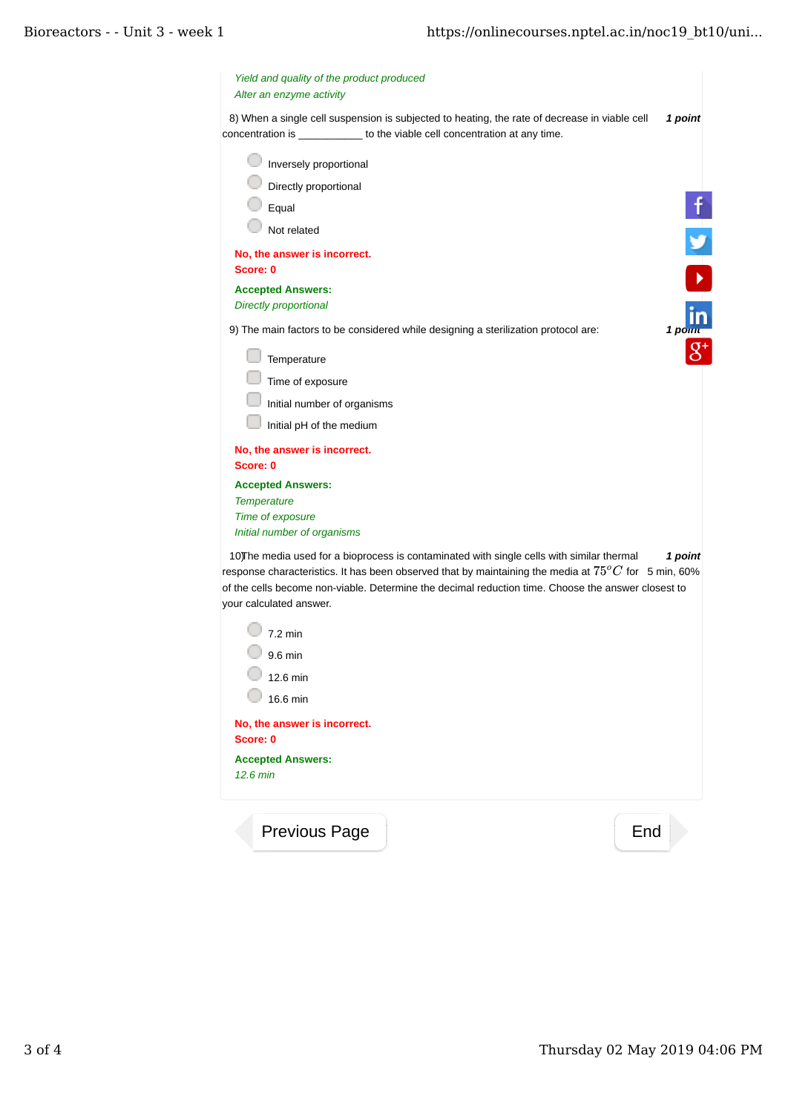| Yield and quality of the product produced<br>Alter an enzyme activity                                                                                                                                                                                                                                                                 |         |
|---------------------------------------------------------------------------------------------------------------------------------------------------------------------------------------------------------------------------------------------------------------------------------------------------------------------------------------|---------|
| 8) When a single cell suspension is subjected to heating, the rate of decrease in viable cell<br>concentration is _____________ to the viable cell concentration at any time.                                                                                                                                                         | 1 point |
| Inversely proportional                                                                                                                                                                                                                                                                                                                |         |
| Directly proportional                                                                                                                                                                                                                                                                                                                 |         |
| Equal                                                                                                                                                                                                                                                                                                                                 |         |
| Not related                                                                                                                                                                                                                                                                                                                           |         |
| No, the answer is incorrect.<br>Score: 0                                                                                                                                                                                                                                                                                              |         |
| <b>Accepted Answers:</b>                                                                                                                                                                                                                                                                                                              |         |
| <b>Directly proportional</b>                                                                                                                                                                                                                                                                                                          |         |
| 9) The main factors to be considered while designing a sterilization protocol are:                                                                                                                                                                                                                                                    | 1 poin  |
| Temperature                                                                                                                                                                                                                                                                                                                           |         |
| Time of exposure                                                                                                                                                                                                                                                                                                                      |         |
| Initial number of organisms                                                                                                                                                                                                                                                                                                           |         |
| Initial pH of the medium                                                                                                                                                                                                                                                                                                              |         |
| No, the answer is incorrect.<br>Score: 0                                                                                                                                                                                                                                                                                              |         |
| <b>Accepted Answers:</b>                                                                                                                                                                                                                                                                                                              |         |
| <b>Temperature</b>                                                                                                                                                                                                                                                                                                                    |         |
| Time of exposure<br>Initial number of organisms                                                                                                                                                                                                                                                                                       |         |
| 10) The media used for a bioprocess is contaminated with single cells with similar thermal<br>response characteristics. It has been observed that by maintaining the media at $75^oC$ for 5 min, 60%<br>of the cells become non-viable. Determine the decimal reduction time. Choose the answer closest to<br>your calculated answer. | 1 point |
| $7.2 \text{ min}$                                                                                                                                                                                                                                                                                                                     |         |
| 9.6 min                                                                                                                                                                                                                                                                                                                               |         |
| 12.6 min                                                                                                                                                                                                                                                                                                                              |         |
| 16.6 min                                                                                                                                                                                                                                                                                                                              |         |
| No, the answer is incorrect.<br>Score: 0                                                                                                                                                                                                                                                                                              |         |
| <b>Accepted Answers:</b>                                                                                                                                                                                                                                                                                                              |         |
| 12.6 min                                                                                                                                                                                                                                                                                                                              |         |
| <b>Previous Page</b><br>End                                                                                                                                                                                                                                                                                                           |         |